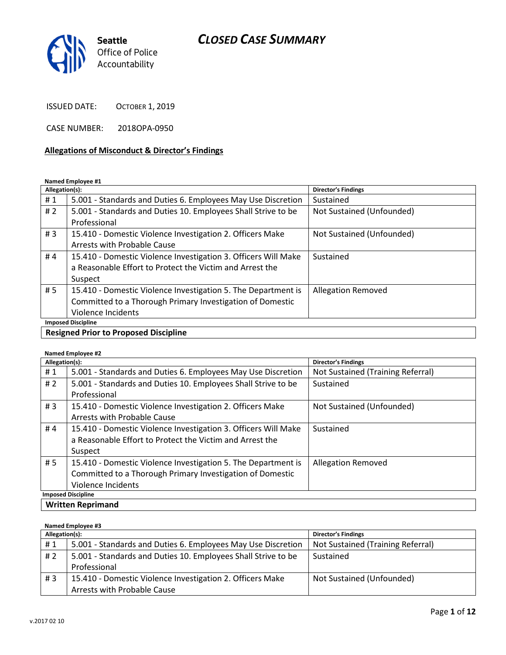

ISSUED DATE: OCTOBER 1, 2019

CASE NUMBER: 2018OPA-0950

#### Allegations of Misconduct & Director's Findings

Named Employee #1

| Allegation(s):            |                                                                | <b>Director's Findings</b> |
|---------------------------|----------------------------------------------------------------|----------------------------|
| #1                        | 5.001 - Standards and Duties 6. Employees May Use Discretion   | Sustained                  |
| #2                        | 5.001 - Standards and Duties 10. Employees Shall Strive to be  | Not Sustained (Unfounded)  |
|                           | Professional                                                   |                            |
| #3                        | 15.410 - Domestic Violence Investigation 2. Officers Make      | Not Sustained (Unfounded)  |
|                           | Arrests with Probable Cause                                    |                            |
| #4                        | 15.410 - Domestic Violence Investigation 3. Officers Will Make | Sustained                  |
|                           | a Reasonable Effort to Protect the Victim and Arrest the       |                            |
|                           | Suspect                                                        |                            |
| #5                        | 15.410 - Domestic Violence Investigation 5. The Department is  | <b>Allegation Removed</b>  |
|                           | Committed to a Thorough Primary Investigation of Domestic      |                            |
|                           | Violence Incidents                                             |                            |
| <b>Imposed Discipline</b> |                                                                |                            |
| .                         |                                                                |                            |

Resigned Prior to Proposed Discipline

#### Named Employee #2

| Allegation(s):            |                                                                | <b>Director's Findings</b>        |
|---------------------------|----------------------------------------------------------------|-----------------------------------|
| #1                        | 5.001 - Standards and Duties 6. Employees May Use Discretion   | Not Sustained (Training Referral) |
| #2                        | 5.001 - Standards and Duties 10. Employees Shall Strive to be  | Sustained                         |
|                           | Professional                                                   |                                   |
| #3                        | 15.410 - Domestic Violence Investigation 2. Officers Make      | Not Sustained (Unfounded)         |
|                           | Arrests with Probable Cause                                    |                                   |
| #4                        | 15.410 - Domestic Violence Investigation 3. Officers Will Make | Sustained                         |
|                           | a Reasonable Effort to Protect the Victim and Arrest the       |                                   |
|                           | Suspect                                                        |                                   |
| # 5                       | 15.410 - Domestic Violence Investigation 5. The Department is  | <b>Allegation Removed</b>         |
|                           | Committed to a Thorough Primary Investigation of Domestic      |                                   |
|                           | Violence Incidents                                             |                                   |
| <b>Imposed Discipline</b> |                                                                |                                   |
| <b>Written Reprimand</b>  |                                                                |                                   |

#### Named Employee #3

| Allegation(s): |                                                               | <b>Director's Findings</b>        |
|----------------|---------------------------------------------------------------|-----------------------------------|
| #1             | 5.001 - Standards and Duties 6. Employees May Use Discretion  | Not Sustained (Training Referral) |
| # 2            | 5.001 - Standards and Duties 10. Employees Shall Strive to be | Sustained                         |
|                | Professional                                                  |                                   |
| #3             | 15.410 - Domestic Violence Investigation 2. Officers Make     | Not Sustained (Unfounded)         |
|                | Arrests with Probable Cause                                   |                                   |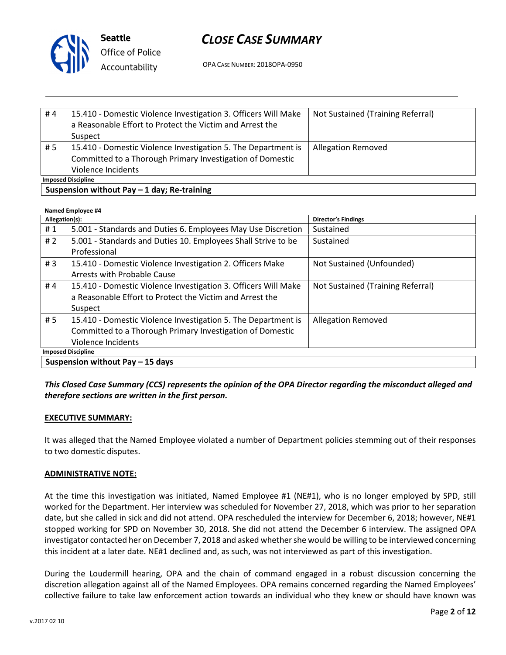

| #4                                                    | 15.410 - Domestic Violence Investigation 3. Officers Will Make | Not Sustained (Training Referral) |
|-------------------------------------------------------|----------------------------------------------------------------|-----------------------------------|
|                                                       | a Reasonable Effort to Protect the Victim and Arrest the       |                                   |
|                                                       | Suspect                                                        |                                   |
| #5                                                    | 15.410 - Domestic Violence Investigation 5. The Department is  | <b>Allegation Removed</b>         |
|                                                       | Committed to a Thorough Primary Investigation of Domestic      |                                   |
|                                                       | Violence Incidents                                             |                                   |
| <b>Imposed Discipline</b>                             |                                                                |                                   |
| $S$ ucnonsion without $D_2v = 1$ day. $D_2$ -training |                                                                |                                   |

### $\overline{\phantom{a}}$  Suspension without Pay – 1 day; Re-training

| Named Employee #4                |                                                                |                                   |
|----------------------------------|----------------------------------------------------------------|-----------------------------------|
| Allegation(s):                   |                                                                | <b>Director's Findings</b>        |
| #1                               | 5.001 - Standards and Duties 6. Employees May Use Discretion   | Sustained                         |
| #2                               | 5.001 - Standards and Duties 10. Employees Shall Strive to be  | Sustained                         |
|                                  | Professional                                                   |                                   |
| #3                               | 15.410 - Domestic Violence Investigation 2. Officers Make      | Not Sustained (Unfounded)         |
|                                  | Arrests with Probable Cause                                    |                                   |
| #4                               | 15.410 - Domestic Violence Investigation 3. Officers Will Make | Not Sustained (Training Referral) |
|                                  | a Reasonable Effort to Protect the Victim and Arrest the       |                                   |
|                                  | Suspect                                                        |                                   |
| # 5                              | 15.410 - Domestic Violence Investigation 5. The Department is  | <b>Allegation Removed</b>         |
|                                  | Committed to a Thorough Primary Investigation of Domestic      |                                   |
|                                  | Violence Incidents                                             |                                   |
| <b>Imposed Discipline</b>        |                                                                |                                   |
| Suspension without Pay - 15 days |                                                                |                                   |

# This Closed Case Summary (CCS) represents the opinion of the OPA Director regarding the misconduct alleged and therefore sections are written in the first person.

# EXECUTIVE SUMMARY:

It was alleged that the Named Employee violated a number of Department policies stemming out of their responses to two domestic disputes.

#### ADMINISTRATIVE NOTE:

At the time this investigation was initiated, Named Employee #1 (NE#1), who is no longer employed by SPD, still worked for the Department. Her interview was scheduled for November 27, 2018, which was prior to her separation date, but she called in sick and did not attend. OPA rescheduled the interview for December 6, 2018; however, NE#1 stopped working for SPD on November 30, 2018. She did not attend the December 6 interview. The assigned OPA investigator contacted her on December 7, 2018 and asked whether she would be willing to be interviewed concerning this incident at a later date. NE#1 declined and, as such, was not interviewed as part of this investigation.

During the Loudermill hearing, OPA and the chain of command engaged in a robust discussion concerning the discretion allegation against all of the Named Employees. OPA remains concerned regarding the Named Employees' collective failure to take law enforcement action towards an individual who they knew or should have known was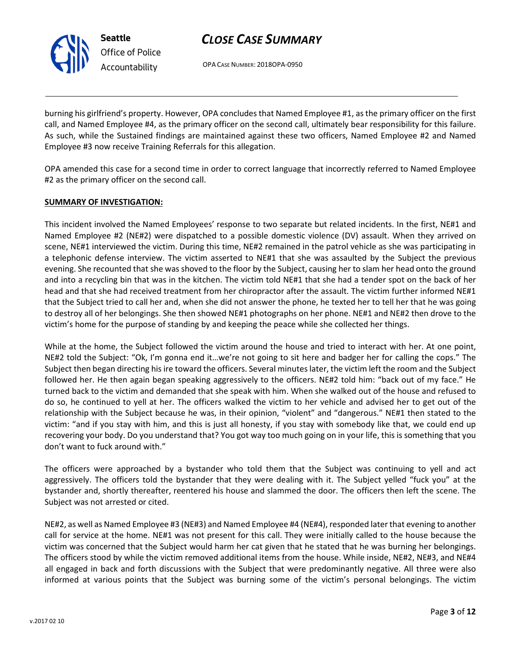OPA CASE NUMBER: 2018OPA-0950

burning his girlfriend's property. However, OPA concludes that Named Employee #1, as the primary officer on the first call, and Named Employee #4, as the primary officer on the second call, ultimately bear responsibility for this failure. As such, while the Sustained findings are maintained against these two officers, Named Employee #2 and Named Employee #3 now receive Training Referrals for this allegation.

OPA amended this case for a second time in order to correct language that incorrectly referred to Named Employee #2 as the primary officer on the second call.

#### SUMMARY OF INVESTIGATION:

Seattle

Office of Police Accountability

This incident involved the Named Employees' response to two separate but related incidents. In the first, NE#1 and Named Employee #2 (NE#2) were dispatched to a possible domestic violence (DV) assault. When they arrived on scene, NE#1 interviewed the victim. During this time, NE#2 remained in the patrol vehicle as she was participating in a telephonic defense interview. The victim asserted to NE#1 that she was assaulted by the Subject the previous evening. She recounted that she was shoved to the floor by the Subject, causing her to slam her head onto the ground and into a recycling bin that was in the kitchen. The victim told NE#1 that she had a tender spot on the back of her head and that she had received treatment from her chiropractor after the assault. The victim further informed NE#1 that the Subject tried to call her and, when she did not answer the phone, he texted her to tell her that he was going to destroy all of her belongings. She then showed NE#1 photographs on her phone. NE#1 and NE#2 then drove to the victim's home for the purpose of standing by and keeping the peace while she collected her things.

While at the home, the Subject followed the victim around the house and tried to interact with her. At one point, NE#2 told the Subject: "Ok, I'm gonna end it…we're not going to sit here and badger her for calling the cops." The Subject then began directing his ire toward the officers. Several minutes later, the victim left the room and the Subject followed her. He then again began speaking aggressively to the officers. NE#2 told him: "back out of my face." He turned back to the victim and demanded that she speak with him. When she walked out of the house and refused to do so, he continued to yell at her. The officers walked the victim to her vehicle and advised her to get out of the relationship with the Subject because he was, in their opinion, "violent" and "dangerous." NE#1 then stated to the victim: "and if you stay with him, and this is just all honesty, if you stay with somebody like that, we could end up recovering your body. Do you understand that? You got way too much going on in your life, this is something that you don't want to fuck around with."

The officers were approached by a bystander who told them that the Subject was continuing to yell and act aggressively. The officers told the bystander that they were dealing with it. The Subject yelled "fuck you" at the bystander and, shortly thereafter, reentered his house and slammed the door. The officers then left the scene. The Subject was not arrested or cited.

NE#2, as well as Named Employee #3 (NE#3) and Named Employee #4 (NE#4), responded later that evening to another call for service at the home. NE#1 was not present for this call. They were initially called to the house because the victim was concerned that the Subject would harm her cat given that he stated that he was burning her belongings. The officers stood by while the victim removed additional items from the house. While inside, NE#2, NE#3, and NE#4 all engaged in back and forth discussions with the Subject that were predominantly negative. All three were also informed at various points that the Subject was burning some of the victim's personal belongings. The victim

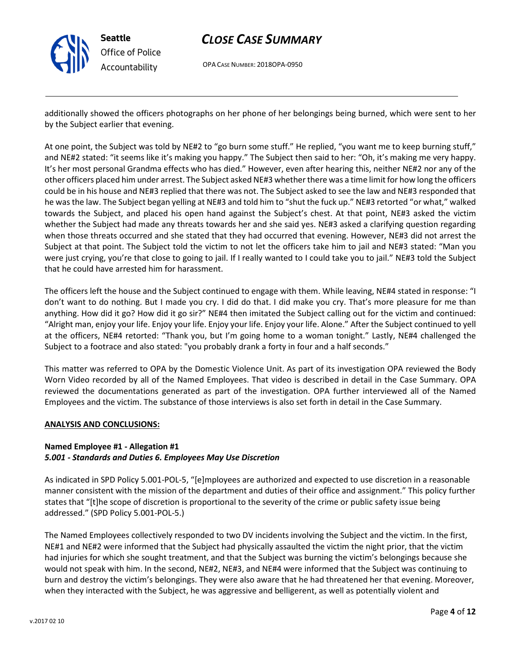

OPA CASE NUMBER: 2018OPA-0950

additionally showed the officers photographs on her phone of her belongings being burned, which were sent to her by the Subject earlier that evening.

At one point, the Subject was told by NE#2 to "go burn some stuff." He replied, "you want me to keep burning stuff," and NE#2 stated: "it seems like it's making you happy." The Subject then said to her: "Oh, it's making me very happy. It's her most personal Grandma effects who has died." However, even after hearing this, neither NE#2 nor any of the other officers placed him under arrest. The Subject asked NE#3 whether there was a time limit for how long the officers could be in his house and NE#3 replied that there was not. The Subject asked to see the law and NE#3 responded that he was the law. The Subject began yelling at NE#3 and told him to "shut the fuck up." NE#3 retorted "or what," walked towards the Subject, and placed his open hand against the Subject's chest. At that point, NE#3 asked the victim whether the Subject had made any threats towards her and she said yes. NE#3 asked a clarifying question regarding when those threats occurred and she stated that they had occurred that evening. However, NE#3 did not arrest the Subject at that point. The Subject told the victim to not let the officers take him to jail and NE#3 stated: "Man you were just crying, you're that close to going to jail. If I really wanted to I could take you to jail." NE#3 told the Subject that he could have arrested him for harassment.

The officers left the house and the Subject continued to engage with them. While leaving, NE#4 stated in response: "I don't want to do nothing. But I made you cry. I did do that. I did make you cry. That's more pleasure for me than anything. How did it go? How did it go sir?" NE#4 then imitated the Subject calling out for the victim and continued: "Alright man, enjoy your life. Enjoy your life. Enjoy your life. Enjoy your life. Alone." After the Subject continued to yell at the officers, NE#4 retorted: "Thank you, but I'm going home to a woman tonight." Lastly, NE#4 challenged the Subject to a footrace and also stated: "you probably drank a forty in four and a half seconds."

This matter was referred to OPA by the Domestic Violence Unit. As part of its investigation OPA reviewed the Body Worn Video recorded by all of the Named Employees. That video is described in detail in the Case Summary. OPA reviewed the documentations generated as part of the investigation. OPA further interviewed all of the Named Employees and the victim. The substance of those interviews is also set forth in detail in the Case Summary.

#### ANALYSIS AND CONCLUSIONS:

# Named Employee #1 - Allegation #1

#### 5.001 - Standards and Duties 6. Employees May Use Discretion

As indicated in SPD Policy 5.001-POL-5, "[e]mployees are authorized and expected to use discretion in a reasonable manner consistent with the mission of the department and duties of their office and assignment." This policy further states that "[t]he scope of discretion is proportional to the severity of the crime or public safety issue being addressed." (SPD Policy 5.001-POL-5.)

The Named Employees collectively responded to two DV incidents involving the Subject and the victim. In the first, NE#1 and NE#2 were informed that the Subject had physically assaulted the victim the night prior, that the victim had injuries for which she sought treatment, and that the Subject was burning the victim's belongings because she would not speak with him. In the second, NE#2, NE#3, and NE#4 were informed that the Subject was continuing to burn and destroy the victim's belongings. They were also aware that he had threatened her that evening. Moreover, when they interacted with the Subject, he was aggressive and belligerent, as well as potentially violent and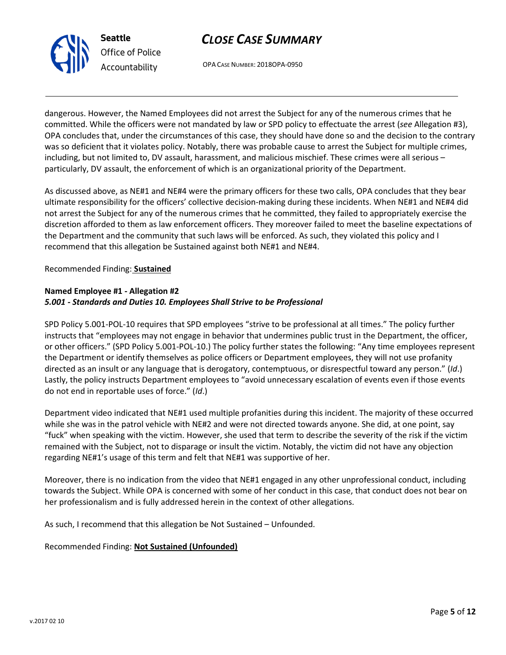



dangerous. However, the Named Employees did not arrest the Subject for any of the numerous crimes that he committed. While the officers were not mandated by law or SPD policy to effectuate the arrest (see Allegation #3), OPA concludes that, under the circumstances of this case, they should have done so and the decision to the contrary was so deficient that it violates policy. Notably, there was probable cause to arrest the Subject for multiple crimes, including, but not limited to, DV assault, harassment, and malicious mischief. These crimes were all serious – particularly, DV assault, the enforcement of which is an organizational priority of the Department.

As discussed above, as NE#1 and NE#4 were the primary officers for these two calls, OPA concludes that they bear ultimate responsibility for the officers' collective decision-making during these incidents. When NE#1 and NE#4 did not arrest the Subject for any of the numerous crimes that he committed, they failed to appropriately exercise the discretion afforded to them as law enforcement officers. They moreover failed to meet the baseline expectations of the Department and the community that such laws will be enforced. As such, they violated this policy and I recommend that this allegation be Sustained against both NE#1 and NE#4.

### Recommended Finding: Sustained

#### Named Employee #1 - Allegation #2 5.001 - Standards and Duties 10. Employees Shall Strive to be Professional

SPD Policy 5.001-POL-10 requires that SPD employees "strive to be professional at all times." The policy further instructs that "employees may not engage in behavior that undermines public trust in the Department, the officer, or other officers." (SPD Policy 5.001-POL-10.) The policy further states the following: "Any time employees represent the Department or identify themselves as police officers or Department employees, they will not use profanity directed as an insult or any language that is derogatory, contemptuous, or disrespectful toward any person." (Id.) Lastly, the policy instructs Department employees to "avoid unnecessary escalation of events even if those events do not end in reportable uses of force." (Id.)

Department video indicated that NE#1 used multiple profanities during this incident. The majority of these occurred while she was in the patrol vehicle with NE#2 and were not directed towards anyone. She did, at one point, say "fuck" when speaking with the victim. However, she used that term to describe the severity of the risk if the victim remained with the Subject, not to disparage or insult the victim. Notably, the victim did not have any objection regarding NE#1's usage of this term and felt that NE#1 was supportive of her.

Moreover, there is no indication from the video that NE#1 engaged in any other unprofessional conduct, including towards the Subject. While OPA is concerned with some of her conduct in this case, that conduct does not bear on her professionalism and is fully addressed herein in the context of other allegations.

As such, I recommend that this allegation be Not Sustained – Unfounded.

# Recommended Finding: Not Sustained (Unfounded)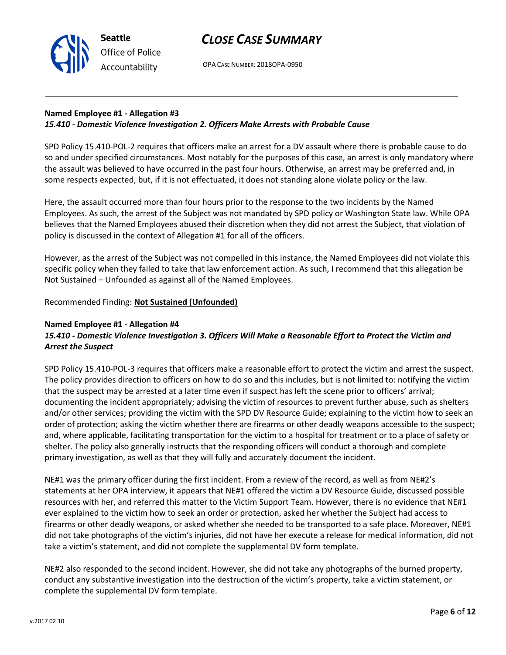### Named Employee #1 - Allegation #3 15.410 - Domestic Violence Investigation 2. Officers Make Arrests with Probable Cause

SPD Policy 15.410-POL-2 requires that officers make an arrest for a DV assault where there is probable cause to do so and under specified circumstances. Most notably for the purposes of this case, an arrest is only mandatory where the assault was believed to have occurred in the past four hours. Otherwise, an arrest may be preferred and, in some respects expected, but, if it is not effectuated, it does not standing alone violate policy or the law.

Here, the assault occurred more than four hours prior to the response to the two incidents by the Named Employees. As such, the arrest of the Subject was not mandated by SPD policy or Washington State law. While OPA believes that the Named Employees abused their discretion when they did not arrest the Subject, that violation of policy is discussed in the context of Allegation #1 for all of the officers.

However, as the arrest of the Subject was not compelled in this instance, the Named Employees did not violate this specific policy when they failed to take that law enforcement action. As such, I recommend that this allegation be Not Sustained – Unfounded as against all of the Named Employees.

# Recommended Finding: Not Sustained (Unfounded)

#### Named Employee #1 - Allegation #4

Seattle

Office of Police Accountability

# 15.410 - Domestic Violence Investigation 3. Officers Will Make a Reasonable Effort to Protect the Victim and Arrest the Suspect

SPD Policy 15.410-POL-3 requires that officers make a reasonable effort to protect the victim and arrest the suspect. The policy provides direction to officers on how to do so and this includes, but is not limited to: notifying the victim that the suspect may be arrested at a later time even if suspect has left the scene prior to officers' arrival; documenting the incident appropriately; advising the victim of resources to prevent further abuse, such as shelters and/or other services; providing the victim with the SPD DV Resource Guide; explaining to the victim how to seek an order of protection; asking the victim whether there are firearms or other deadly weapons accessible to the suspect; and, where applicable, facilitating transportation for the victim to a hospital for treatment or to a place of safety or shelter. The policy also generally instructs that the responding officers will conduct a thorough and complete primary investigation, as well as that they will fully and accurately document the incident.

NE#1 was the primary officer during the first incident. From a review of the record, as well as from NE#2's statements at her OPA interview, it appears that NE#1 offered the victim a DV Resource Guide, discussed possible resources with her, and referred this matter to the Victim Support Team. However, there is no evidence that NE#1 ever explained to the victim how to seek an order or protection, asked her whether the Subject had access to firearms or other deadly weapons, or asked whether she needed to be transported to a safe place. Moreover, NE#1 did not take photographs of the victim's injuries, did not have her execute a release for medical information, did not take a victim's statement, and did not complete the supplemental DV form template.

NE#2 also responded to the second incident. However, she did not take any photographs of the burned property, conduct any substantive investigation into the destruction of the victim's property, take a victim statement, or complete the supplemental DV form template.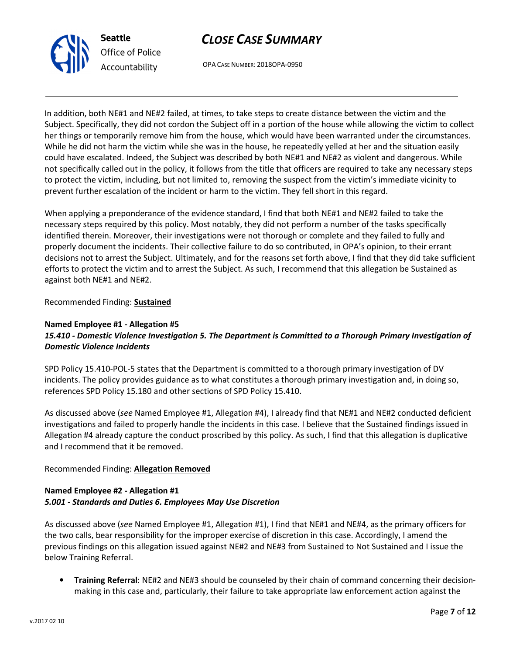



In addition, both NE#1 and NE#2 failed, at times, to take steps to create distance between the victim and the Subject. Specifically, they did not cordon the Subject off in a portion of the house while allowing the victim to collect her things or temporarily remove him from the house, which would have been warranted under the circumstances. While he did not harm the victim while she was in the house, he repeatedly yelled at her and the situation easily could have escalated. Indeed, the Subject was described by both NE#1 and NE#2 as violent and dangerous. While not specifically called out in the policy, it follows from the title that officers are required to take any necessary steps to protect the victim, including, but not limited to, removing the suspect from the victim's immediate vicinity to prevent further escalation of the incident or harm to the victim. They fell short in this regard.

When applying a preponderance of the evidence standard, I find that both NE#1 and NE#2 failed to take the necessary steps required by this policy. Most notably, they did not perform a number of the tasks specifically identified therein. Moreover, their investigations were not thorough or complete and they failed to fully and properly document the incidents. Their collective failure to do so contributed, in OPA's opinion, to their errant decisions not to arrest the Subject. Ultimately, and for the reasons set forth above, I find that they did take sufficient efforts to protect the victim and to arrest the Subject. As such, I recommend that this allegation be Sustained as against both NE#1 and NE#2.

Recommended Finding: Sustained

#### Named Employee #1 - Allegation #5 15.410 - Domestic Violence Investigation 5. The Department is Committed to a Thorough Primary Investigation of Domestic Violence Incidents

SPD Policy 15.410-POL-5 states that the Department is committed to a thorough primary investigation of DV incidents. The policy provides guidance as to what constitutes a thorough primary investigation and, in doing so, references SPD Policy 15.180 and other sections of SPD Policy 15.410.

As discussed above (see Named Employee #1, Allegation #4), I already find that NE#1 and NE#2 conducted deficient investigations and failed to properly handle the incidents in this case. I believe that the Sustained findings issued in Allegation #4 already capture the conduct proscribed by this policy. As such, I find that this allegation is duplicative and I recommend that it be removed.

# Recommended Finding: Allegation Removed

# Named Employee #2 - Allegation #1 5.001 - Standards and Duties 6. Employees May Use Discretion

As discussed above (see Named Employee #1, Allegation #1), I find that NE#1 and NE#4, as the primary officers for the two calls, bear responsibility for the improper exercise of discretion in this case. Accordingly, I amend the previous findings on this allegation issued against NE#2 and NE#3 from Sustained to Not Sustained and I issue the below Training Referral.

• Training Referral: NE#2 and NE#3 should be counseled by their chain of command concerning their decisionmaking in this case and, particularly, their failure to take appropriate law enforcement action against the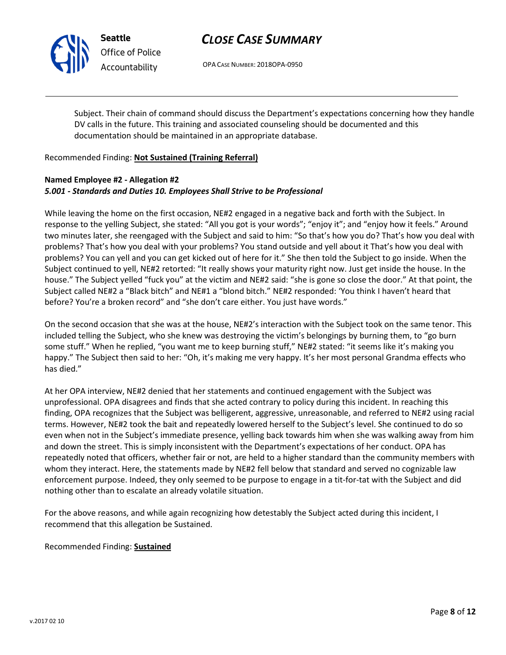

Seattle Office of Police Accountability

# CLOSE CASE SUMMARY

OPA CASE NUMBER: 2018OPA-0950

Subject. Their chain of command should discuss the Department's expectations concerning how they handle DV calls in the future. This training and associated counseling should be documented and this documentation should be maintained in an appropriate database.

#### Recommended Finding: Not Sustained (Training Referral)

#### Named Employee #2 - Allegation #2 5.001 - Standards and Duties 10. Employees Shall Strive to be Professional

While leaving the home on the first occasion, NE#2 engaged in a negative back and forth with the Subject. In response to the yelling Subject, she stated: "All you got is your words"; "enjoy it"; and "enjoy how it feels." Around two minutes later, she reengaged with the Subject and said to him: "So that's how you do? That's how you deal with problems? That's how you deal with your problems? You stand outside and yell about it That's how you deal with problems? You can yell and you can get kicked out of here for it." She then told the Subject to go inside. When the Subject continued to yell, NE#2 retorted: "It really shows your maturity right now. Just get inside the house. In the house." The Subject yelled "fuck you" at the victim and NE#2 said: "she is gone so close the door." At that point, the Subject called NE#2 a "Black bitch" and NE#1 a "blond bitch." NE#2 responded: 'You think I haven't heard that before? You're a broken record" and "she don't care either. You just have words."

On the second occasion that she was at the house, NE#2's interaction with the Subject took on the same tenor. This included telling the Subject, who she knew was destroying the victim's belongings by burning them, to "go burn some stuff." When he replied, "you want me to keep burning stuff," NE#2 stated: "it seems like it's making you happy." The Subject then said to her: "Oh, it's making me very happy. It's her most personal Grandma effects who has died."

At her OPA interview, NE#2 denied that her statements and continued engagement with the Subject was unprofessional. OPA disagrees and finds that she acted contrary to policy during this incident. In reaching this finding, OPA recognizes that the Subject was belligerent, aggressive, unreasonable, and referred to NE#2 using racial terms. However, NE#2 took the bait and repeatedly lowered herself to the Subject's level. She continued to do so even when not in the Subject's immediate presence, yelling back towards him when she was walking away from him and down the street. This is simply inconsistent with the Department's expectations of her conduct. OPA has repeatedly noted that officers, whether fair or not, are held to a higher standard than the community members with whom they interact. Here, the statements made by NE#2 fell below that standard and served no cognizable law enforcement purpose. Indeed, they only seemed to be purpose to engage in a tit-for-tat with the Subject and did nothing other than to escalate an already volatile situation.

For the above reasons, and while again recognizing how detestably the Subject acted during this incident, I recommend that this allegation be Sustained.

Recommended Finding: Sustained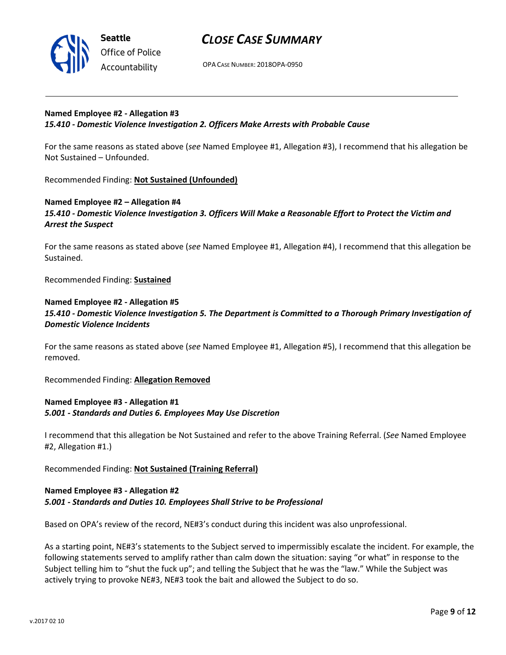

OPA CASE NUMBER: 2018OPA-0950

#### Named Employee #2 - Allegation #3 15.410 - Domestic Violence Investigation 2. Officers Make Arrests with Probable Cause

For the same reasons as stated above (see Named Employee #1, Allegation #3), I recommend that his allegation be Not Sustained – Unfounded.

Recommended Finding: Not Sustained (Unfounded)

# Named Employee #2 – Allegation #4 15.410 - Domestic Violence Investigation 3. Officers Will Make a Reasonable Effort to Protect the Victim and Arrest the Suspect

For the same reasons as stated above (see Named Employee #1, Allegation #4), I recommend that this allegation be Sustained.

Recommended Finding: Sustained

### Named Employee #2 - Allegation #5 15.410 - Domestic Violence Investigation 5. The Department is Committed to a Thorough Primary Investigation of Domestic Violence Incidents

For the same reasons as stated above (see Named Employee #1, Allegation #5), I recommend that this allegation be removed.

Recommended Finding: Allegation Removed

# Named Employee #3 - Allegation #1 5.001 - Standards and Duties 6. Employees May Use Discretion

I recommend that this allegation be Not Sustained and refer to the above Training Referral. (See Named Employee #2, Allegation #1.)

Recommended Finding: Not Sustained (Training Referral)

#### Named Employee #3 - Allegation #2 5.001 - Standards and Duties 10. Employees Shall Strive to be Professional

Based on OPA's review of the record, NE#3's conduct during this incident was also unprofessional.

As a starting point, NE#3's statements to the Subject served to impermissibly escalate the incident. For example, the following statements served to amplify rather than calm down the situation: saying "or what" in response to the Subject telling him to "shut the fuck up"; and telling the Subject that he was the "law." While the Subject was actively trying to provoke NE#3, NE#3 took the bait and allowed the Subject to do so.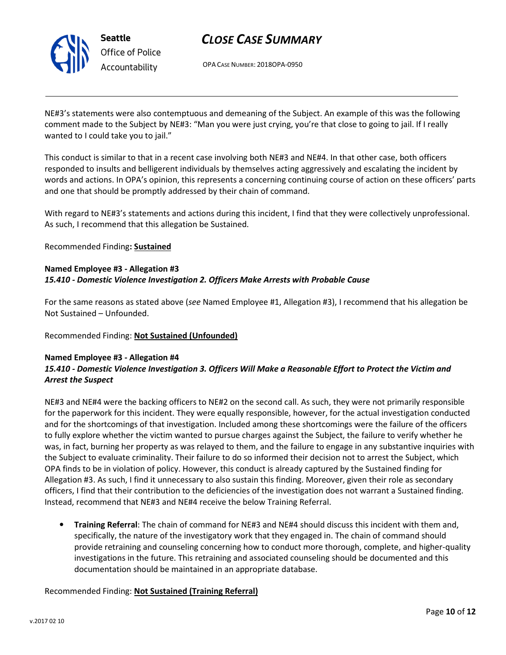

Seattle Office of Police Accountability

# CLOSE CASE SUMMARY

OPA CASE NUMBER: 2018OPA-0950

NE#3's statements were also contemptuous and demeaning of the Subject. An example of this was the following comment made to the Subject by NE#3: "Man you were just crying, you're that close to going to jail. If I really wanted to I could take you to jail."

This conduct is similar to that in a recent case involving both NE#3 and NE#4. In that other case, both officers responded to insults and belligerent individuals by themselves acting aggressively and escalating the incident by words and actions. In OPA's opinion, this represents a concerning continuing course of action on these officers' parts and one that should be promptly addressed by their chain of command.

With regard to NE#3's statements and actions during this incident, I find that they were collectively unprofessional. As such, I recommend that this allegation be Sustained.

Recommended Finding: Sustained

# Named Employee #3 - Allegation #3 15.410 - Domestic Violence Investigation 2. Officers Make Arrests with Probable Cause

For the same reasons as stated above (see Named Employee #1, Allegation #3), I recommend that his allegation be Not Sustained – Unfounded.

# Recommended Finding: Not Sustained (Unfounded)

# Named Employee #3 - Allegation #4

# 15.410 - Domestic Violence Investigation 3. Officers Will Make a Reasonable Effort to Protect the Victim and Arrest the Suspect

NE#3 and NE#4 were the backing officers to NE#2 on the second call. As such, they were not primarily responsible for the paperwork for this incident. They were equally responsible, however, for the actual investigation conducted and for the shortcomings of that investigation. Included among these shortcomings were the failure of the officers to fully explore whether the victim wanted to pursue charges against the Subject, the failure to verify whether he was, in fact, burning her property as was relayed to them, and the failure to engage in any substantive inquiries with the Subject to evaluate criminality. Their failure to do so informed their decision not to arrest the Subject, which OPA finds to be in violation of policy. However, this conduct is already captured by the Sustained finding for Allegation #3. As such, I find it unnecessary to also sustain this finding. Moreover, given their role as secondary officers, I find that their contribution to the deficiencies of the investigation does not warrant a Sustained finding. Instead, recommend that NE#3 and NE#4 receive the below Training Referral.

• Training Referral: The chain of command for NE#3 and NE#4 should discuss this incident with them and, specifically, the nature of the investigatory work that they engaged in. The chain of command should provide retraining and counseling concerning how to conduct more thorough, complete, and higher-quality investigations in the future. This retraining and associated counseling should be documented and this documentation should be maintained in an appropriate database.

# Recommended Finding: Not Sustained (Training Referral)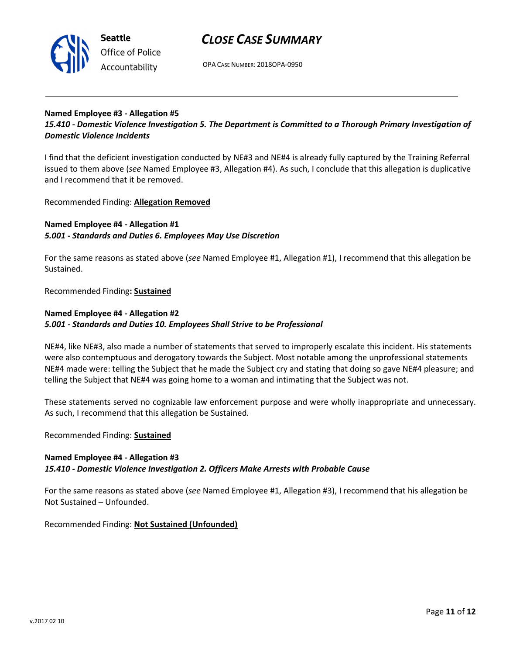

OPA CASE NUMBER: 2018OPA-0950

#### Named Employee #3 - Allegation #5 15.410 - Domestic Violence Investigation 5. The Department is Committed to a Thorough Primary Investigation of Domestic Violence Incidents

I find that the deficient investigation conducted by NE#3 and NE#4 is already fully captured by the Training Referral issued to them above (see Named Employee #3, Allegation #4). As such, I conclude that this allegation is duplicative and I recommend that it be removed.

Recommended Finding: Allegation Removed

# Named Employee #4 - Allegation #1 5.001 - Standards and Duties 6. Employees May Use Discretion

For the same reasons as stated above (see Named Employee #1, Allegation #1), I recommend that this allegation be Sustained.

Recommended Finding: Sustained

### Named Employee #4 - Allegation #2 5.001 - Standards and Duties 10. Employees Shall Strive to be Professional

NE#4, like NE#3, also made a number of statements that served to improperly escalate this incident. His statements were also contemptuous and derogatory towards the Subject. Most notable among the unprofessional statements NE#4 made were: telling the Subject that he made the Subject cry and stating that doing so gave NE#4 pleasure; and telling the Subject that NE#4 was going home to a woman and intimating that the Subject was not.

These statements served no cognizable law enforcement purpose and were wholly inappropriate and unnecessary. As such, I recommend that this allegation be Sustained.

Recommended Finding: Sustained

# Named Employee #4 - Allegation #3 15.410 - Domestic Violence Investigation 2. Officers Make Arrests with Probable Cause

For the same reasons as stated above (see Named Employee #1, Allegation #3), I recommend that his allegation be Not Sustained – Unfounded.

Recommended Finding: Not Sustained (Unfounded)